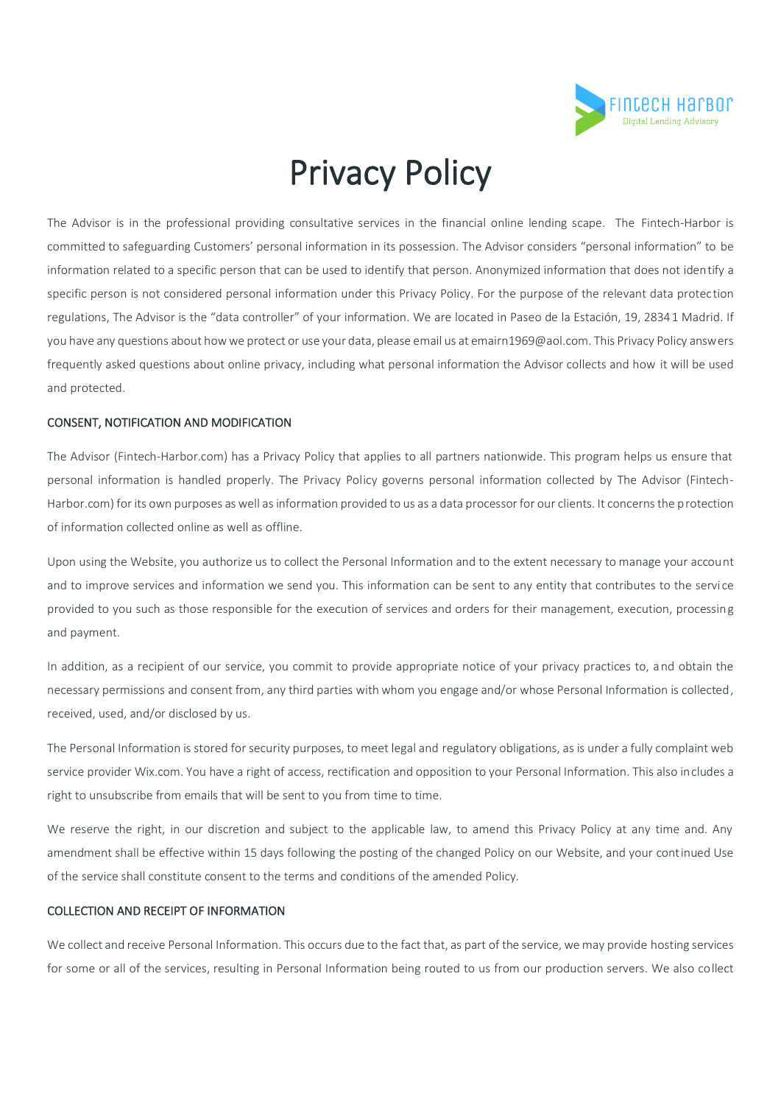

# Privacy Policy

The Advisor is in the professional providing consultative services in the financial online lending scape. The Fintech-Harbor is committed to safeguarding Customers' personal information in its possession. The Advisor considers "personal information" to be information related to a specific person that can be used to identify that person. Anonymized information that does not identify a specific person is not considered personal information under this Privacy Policy. For the purpose of the relevant data protection regulations, The Advisor is the "data controller" of your information. We are located in Paseo de la Estación, 19, 28341 Madrid. If you have any questions about how we protect or use your data, please email us at emairn1969@aol.com. This Privacy Policy answers frequently asked questions about online privacy, including what personal information the Advisor collects and how it will be used and protected.

#### CONSENT, NOTIFICATION AND MODIFICATION

The Advisor (Fintech-Harbor.com) has a Privacy Policy that applies to all partners nationwide. This program helps us ensure that personal information is handled properly. The Privacy Policy governs personal information collected by The Advisor (Fintech-Harbor.com) for its own purposes as well as information provided to us as a data processor for our clients. It concerns the protection of information collected online as well as offline.

Upon using the Website, you authorize us to collect the Personal Information and to the extent necessary to manage your account and to improve services and information we send you. This information can be sent to any entity that contributes to the servi ce provided to you such as those responsible for the execution of services and orders for their management, execution, processing and payment.

In addition, as a recipient of our service, you commit to provide appropriate notice of your privacy practices to, and obtain the necessary permissions and consent from, any third parties with whom you engage and/or whose Personal Information is collected, received, used, and/or disclosed by us.

The Personal Information is stored for security purposes, to meet legal and regulatory obligations, as is under a fully complaint web service provider Wix.com. You have a right of access, rectification and opposition to your Personal Information. This also includes a right to unsubscribe from emails that will be sent to you from time to time.

We reserve the right, in our discretion and subject to the applicable law, to amend this Privacy Policy at any time and. Any amendment shall be effective within 15 days following the posting of the changed Policy on our Website, and your continued Use of the service shall constitute consent to the terms and conditions of the amended Policy.

# COLLECTION AND RECEIPT OF INFORMATION

We collect and receive Personal Information. This occurs due to the fact that, as part of the service, we may provide hosting services for some or all of the services, resulting in Personal Information being routed to us from our production servers. We also collect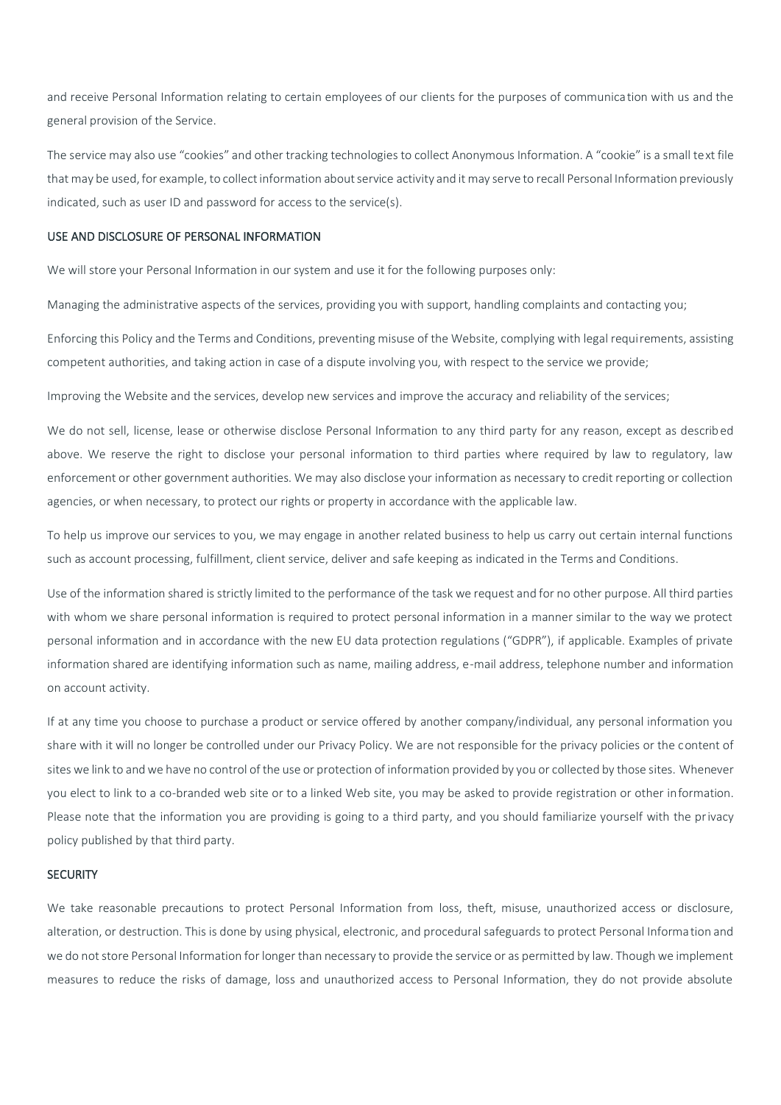and receive Personal Information relating to certain employees of our clients for the purposes of communication with us and the general provision of the Service.

The service may also use "cookies" and other tracking technologies to collect Anonymous Information. A "cookie" is a small text file that may be used, for example, to collect information about service activity and it may serve to recall Personal Information previously indicated, such as user ID and password for access to the service(s).

## USE AND DISCLOSURE OF PERSONAL INFORMATION

We will store your Personal Information in our system and use it for the following purposes only:

Managing the administrative aspects of the services, providing you with support, handling complaints and contacting you;

Enforcing this Policy and the Terms and Conditions, preventing misuse of the Website, complying with legal requirements, assisting competent authorities, and taking action in case of a dispute involving you, with respect to the service we provide;

Improving the Website and the services, develop new services and improve the accuracy and reliability of the services;

We do not sell, license, lease or otherwise disclose Personal Information to any third party for any reason, except as described above. We reserve the right to disclose your personal information to third parties where required by law to regulatory, law enforcement or other government authorities. We may also disclose your information as necessary to credit reporting or collection agencies, or when necessary, to protect our rights or property in accordance with the applicable law.

To help us improve our services to you, we may engage in another related business to help us carry out certain internal functions such as account processing, fulfillment, client service, deliver and safe keeping as indicated in the Terms and Conditions.

Use of the information shared is strictly limited to the performance of the task we request and for no other purpose. All third parties with whom we share personal information is required to protect personal information in a manner similar to the way we protect personal information and in accordance with the new EU data protection regulations ("GDPR"), if applicable. Examples of private information shared are identifying information such as name, mailing address, e-mail address, telephone number and information on account activity.

If at any time you choose to purchase a product or service offered by another company/individual, any personal information you share with it will no longer be controlled under our Privacy Policy. We are not responsible for the privacy policies or the content of sites we link to and we have no control of the use or protection of information provided by you or collected by those sites. Whenever you elect to link to a co-branded web site or to a linked Web site, you may be asked to provide registration or other information. Please note that the information you are providing is going to a third party, and you should familiarize yourself with the privacy policy published by that third party.

### **SECURITY**

We take reasonable precautions to protect Personal Information from loss, theft, misuse, unauthorized access or disclosure, alteration, or destruction. This is done by using physical, electronic, and procedural safeguards to protect Personal Information and we do not store Personal Information for longer than necessary to provide the service or as permitted by law. Though we implement measures to reduce the risks of damage, loss and unauthorized access to Personal Information, they do not provide absolute